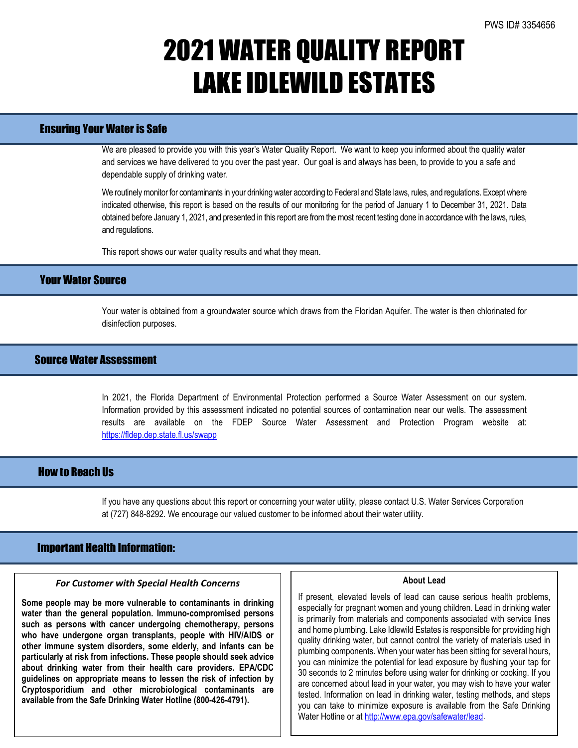# 2021 WATER QUALITY REPORT LAKE IDLEWILD ESTATES

### Ensuring Your Water is Safe

We are pleased to provide you with this year's Water Quality Report. We want to keep you informed about the quality water and services we have delivered to you over the past year. Our goal is and always has been, to provide to you a safe and dependable supply of drinking water.

We routinely monitor for contaminants in your drinking water according to Federal and State laws, rules, and regulations. Except where indicated otherwise, this report is based on the results of our monitoring for the period of January 1 to December 31, 2021. Data obtained before January 1, 2021, and presented in this report are from the most recent testing done in accordance with the laws, rules, and regulations.

This report shows our water quality results and what they mean.

## Your Water Source

Your water is obtained from a groundwater source which draws from the Floridan Aquifer. The water is then chlorinated for disinfection purposes.

## Source Water Assessment

In 2021, the Florida Department of Environmental Protection performed a Source Water Assessment on our system. Information provided by this assessment indicated no potential sources of contamination near our wells. The assessment results are available on the FDEP Source Water Assessment and Protection Program website at: <https://fldep.dep.state.fl.us/swapp>

### How to Reach Us

If you have any questions about this report or concerning your water utility, please contact U.S. Water Services Corporation at (727) 848-8292. We encourage our valued customer to be informed about their water utility.

### Important Health Information:

l

#### *For Customer with Special Health Concerns*

**Some people may be more vulnerable to contaminants in drinking water than the general population. Immuno-compromised persons such as persons with cancer undergoing chemotherapy, persons who have undergone organ transplants, people with HIV/AIDS or other immune system disorders, some elderly, and infants can be particularly at risk from infections. These people should seek advice about drinking water from their health care providers. EPA/CDC guidelines on appropriate means to lessen the risk of infection by Cryptosporidium and other microbiological contaminants are available from the Safe Drinking Water Hotline (800-426-4791).**

#### **About Lead**

If present, elevated levels of lead can cause serious health problems, especially for pregnant women and young children. Lead in drinking water is primarily from materials and components associated with service lines and home plumbing. Lake Idlewild Estates is responsible for providing high quality drinking water, but cannot control the variety of materials used in plumbing components. When your water has been sitting for several hours, you can minimize the potential for lead exposure by flushing your tap for 30 seconds to 2 minutes before using water for drinking or cooking. If you are concerned about lead in your water, you may wish to have your water tested. Information on lead in drinking water, testing methods, and steps you can take to minimize exposure is available from the Safe Drinking Water Hotline or a[t http://www.epa.gov/safewater/lead.](http://www.epa.gov/safewater/lead)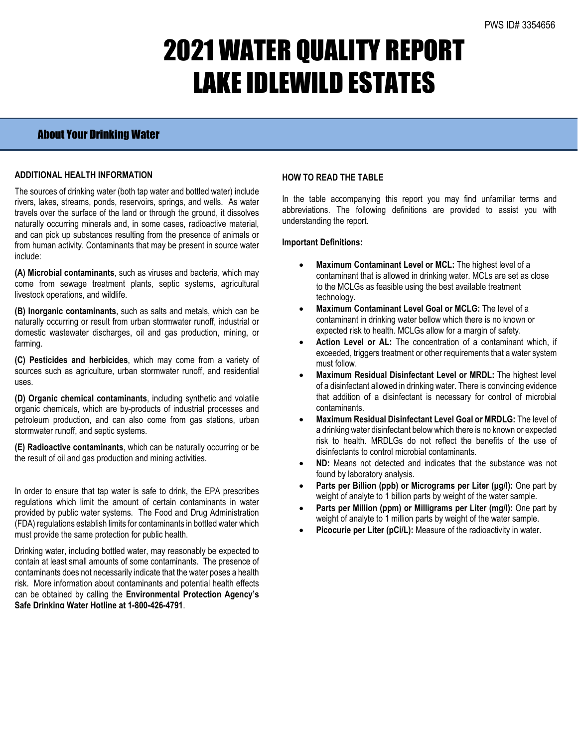# 2021 WATER QUALITY REPORT LAKE IDLEWILD ESTATES

# About Your Drinking Water

### **ADDITIONAL HEALTH INFORMATION**

The sources of drinking water (both tap water and bottled water) include rivers, lakes, streams, ponds, reservoirs, springs, and wells. As water travels over the surface of the land or through the ground, it dissolves naturally occurring minerals and, in some cases, radioactive material, and can pick up substances resulting from the presence of animals or from human activity. Contaminants that may be present in source water include:

**(A) Microbial contaminants**, such as viruses and bacteria, which may come from sewage treatment plants, septic systems, agricultural livestock operations, and wildlife.

**(B) Inorganic contaminants**, such as salts and metals, which can be naturally occurring or result from urban stormwater runoff, industrial or domestic wastewater discharges, oil and gas production, mining, or farming.

**(C) Pesticides and herbicides**, which may come from a variety of sources such as agriculture, urban stormwater runoff, and residential uses.

**(D) Organic chemical contaminants**, including synthetic and volatile organic chemicals, which are by-products of industrial processes and petroleum production, and can also come from gas stations, urban stormwater runoff, and septic systems.

**(E) Radioactive contaminants**, which can be naturally occurring or be the result of oil and gas production and mining activities.

In order to ensure that tap water is safe to drink, the EPA prescribes regulations which limit the amount of certain contaminants in water provided by public water systems. The Food and Drug Administration (FDA) regulations establish limits for contaminants in bottled water which must provide the same protection for public health.

Drinking water, including bottled water, may reasonably be expected to contain at least small amounts of some contaminants. The presence of contaminants does not necessarily indicate that the water poses a health risk. More information about contaminants and potential health effects can be obtained by calling the **Environmental Protection Agency's Safe Drinking Water Hotline at 1-800-426-4791**.

### **HOW TO READ THE TABLE**

In the table accompanying this report you may find unfamiliar terms and abbreviations. The following definitions are provided to assist you with understanding the report.

#### **Important Definitions:**

- **Maximum Contaminant Level or MCL:** The highest level of a contaminant that is allowed in drinking water. MCLs are set as close to the MCLGs as feasible using the best available treatment technology.
- **Maximum Contaminant Level Goal or MCLG:** The level of a contaminant in drinking water bellow which there is no known or expected risk to health. MCLGs allow for a margin of safety.
- Action Level or AL: The concentration of a contaminant which, if exceeded, triggers treatment or other requirements that a water system must follow.
- **Maximum Residual Disinfectant Level or MRDL:** The highest level of a disinfectant allowed in drinking water. There is convincing evidence that addition of a disinfectant is necessary for control of microbial contaminants.
- **Maximum Residual Disinfectant Level Goal or MRDLG:** The level of a drinking water disinfectant below which there is no known or expected risk to health. MRDLGs do not reflect the benefits of the use of disinfectants to control microbial contaminants.
- **ND:** Means not detected and indicates that the substance was not found by laboratory analysis.
- **Parts per Billion (ppb) or Micrograms per Liter (μg/l):** One part by weight of analyte to 1 billion parts by weight of the water sample.
- **Parts per Million (ppm) or Milligrams per Liter (mg/l):** One part by weight of analyte to 1 million parts by weight of the water sample.
- Picocurie per Liter (pCi/L): Measure of the radioactivity in water.